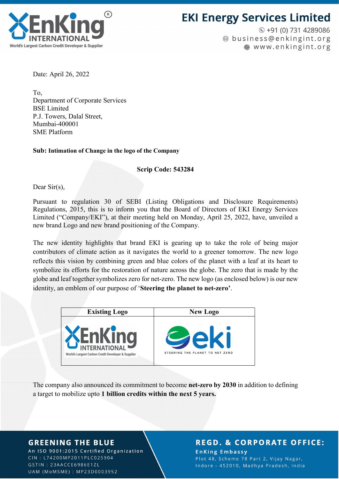

# **EKI Energy Services Limited**

 $\odot$  +91 (0) 731 4289086 @ business@enkingint.org www.enkingint.org

Date: April 26, 2022

To, Department of Corporate Services BSE Limited P.J. Towers, Dalal Street, Mumbai-400001 SME Platform

Sub: Intimation of Change in the logo of the Company

Scrip Code: 543284

Dear Sir(s),

Pursuant to regulation 30 of SEBI (Listing Obligations and Disclosure Requirements) Regulations, 2015, this is to inform you that the Board of Directors of EKI Energy Services Limited ("Company/EKI"), at their meeting held on Monday, April 25, 2022, have, unveiled a new brand Logo and new brand positioning of the Company.

The new identity highlights that brand EKI is gearing up to take the role of being major contributors of climate action as it navigates the world to a greener tomorrow. The new logo reflects this vision by combining green and blue colors of the planet with a leaf at its heart to symbolize its efforts for the restoration of nature across the globe. The zero that is made by the globe and leaf together symbolizes zero for net-zero. The new logo (as enclosed below) is our new identity, an emblem of our purpose of 'Steering the planet to net-zero'.



The company also announced its commitment to become net-zero by 2030 in addition to defining a target to mobilize upto 1 billion credits within the next 5 years.

### **GREENING THE BLUE**

An ISO 9001:2015 Certified Organization CIN: L74200MP2011PLC025904 GSTIN: 23AACCE6986E1ZL UAM (MoMSME): MP23D0003952

### **REGD. & CORPORATE OFFICE:**

**EnKing Embassy** Plot 48, Scheme 78 Part 2, Vijay Nagar, Indore - 452010, Madhya Pradesh, India